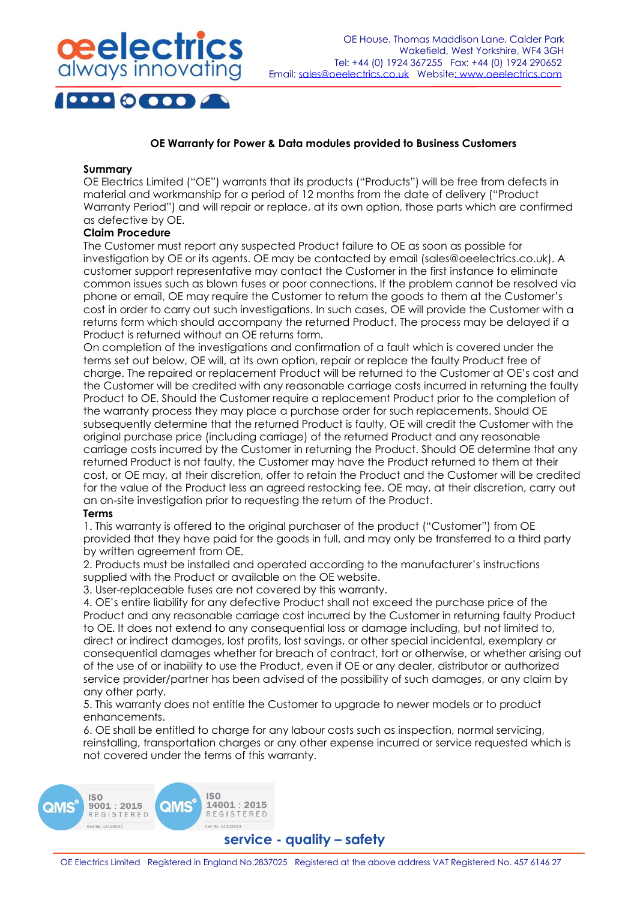

# **OE Warranty for Power & Data modules provided to Business Customers**

#### **Summary**

OE Electrics Limited ("OE") warrants that its products ("Products") will be free from defects in material and workmanship for a period of 12 months from the date of delivery ("Product Warranty Period") and will repair or replace, at its own option, those parts which are confirmed as defective by OE.

## **Claim Procedure**

The Customer must report any suspected Product failure to OE as soon as possible for investigation by OE or its agents. OE may be contacted by email (sales@oeelectrics.co.uk). A customer support representative may contact the Customer in the first instance to eliminate common issues such as blown fuses or poor connections. If the problem cannot be resolved via phone or email, OE may require the Customer to return the goods to them at the Customer's cost in order to carry out such investigations. In such cases, OE will provide the Customer with a returns form which should accompany the returned Product. The process may be delayed if a Product is returned without an OE returns form.

On completion of the investigations and confirmation of a fault which is covered under the terms set out below, OE will, at its own option, repair or replace the faulty Product free of charge. The repaired or replacement Product will be returned to the Customer at OE's cost and the Customer will be credited with any reasonable carriage costs incurred in returning the faulty Product to OE. Should the Customer require a replacement Product prior to the completion of the warranty process they may place a purchase order for such replacements. Should OE subsequently determine that the returned Product is faulty, OE will credit the Customer with the original purchase price (including carriage) of the returned Product and any reasonable carriage costs incurred by the Customer in returning the Product. Should OE determine that any returned Product is not faulty, the Customer may have the Product returned to them at their cost, or OE may, at their discretion, offer to retain the Product and the Customer will be credited for the value of the Product less an agreed restocking fee. OE may, at their discretion, carry out an on-site investigation prior to requesting the return of the Product.

## **Terms**

1. This warranty is offered to the original purchaser of the product ("Customer") from OE provided that they have paid for the goods in full, and may only be transferred to a third party by written agreement from OE.

2. Products must be installed and operated according to the manufacturer's instructions supplied with the Product or available on the OE website.

3. User-replaceable fuses are not covered by this warranty.

4. OE's entire liability for any defective Product shall not exceed the purchase price of the Product and any reasonable carriage cost incurred by the Customer in returning faulty Product to OE. It does not extend to any consequential loss or damage including, but not limited to, direct or indirect damages, lost profits, lost savings, or other special incidental, exemplary or consequential damages whether for breach of contract, tort or otherwise, or whether arising out of the use of or inability to use the Product, even if OE or any dealer, distributor or authorized service provider/partner has been advised of the possibility of such damages, or any claim by any other party.

5. This warranty does not entitle the Customer to upgrade to newer models or to product enhancements.

6. OE shall be entitled to charge for any labour costs such as inspection, normal servicing, reinstalling, transportation charges or any other expense incurred or service requested which is not covered under the terms of this warranty.